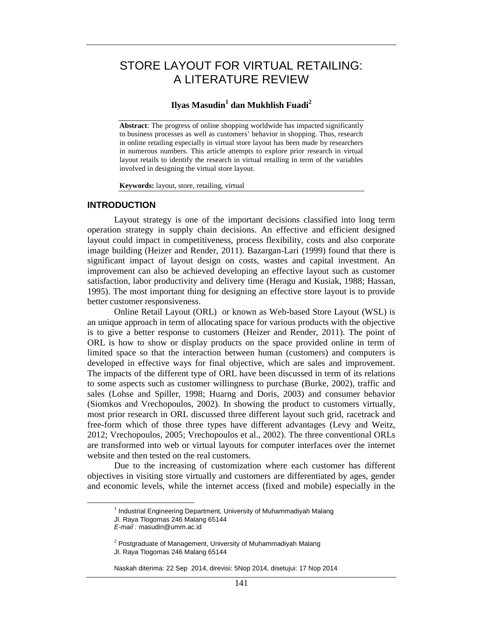# STORE LAYOUT FOR VIRTUAL RETAILING: A LITERATURE REVIEW

## **Ilyas Masudin<sup>1</sup> dan Mukhlish Fuadi<sup>2</sup>**

**Abstract**: The progress of online shopping worldwide has impacted significantly to business processes as well as customers' behavior in shopping. Thus, research in online retailing especially in virtual store layout has been made by researchers in numerous numbers. This article attempts to explore prior research in virtual layout retails to identify the research in virtual retailing in term of the variables involved in designing the virtual store layout.

**Keywords:** layout, store, retailing, virtual

## **INTRODUCTION**

Layout strategy is one of the important decisions classified into long term operation strategy in supply chain decisions. An effective and efficient designed layout could impact in competitiveness, process flexibility, costs and also corporate image building (Heizer and Render, 2011). Bazargan-Lari (1999) found that there is significant impact of layout design on costs, wastes and capital investment. An improvement can also be achieved developing an effective layout such as customer satisfaction, labor productivity and delivery time (Heragu and Kusiak, 1988; Hassan, 1995). The most important thing for designing an effective store layout is to provide better customer responsiveness.

Online Retail Layout (ORL) or known as Web-based Store Layout (WSL) is an unique approach in term of allocating space for various products with the objective is to give a better response to customers (Heizer and Render, 2011). The point of ORL is how to show or display products on the space provided online in term of limited space so that the interaction between human (customers) and computers is developed in effective ways for final objective, which are sales and improvement. The impacts of the different type of ORL have been discussed in term of its relations to some aspects such as customer willingness to purchase (Burke, 2002), traffic and sales (Lohse and Spiller, 1998; Huarng and Doris, 2003) and consumer behavior (Siomkos and Vrechopoulos, 2002). In showing the product to customers virtually, most prior research in ORL discussed three different layout such grid, racetrack and free-form which of those three types have different advantages (Levy and Weitz, 2012; Vrechopoulos, 2005; Vrechopoulos et al., 2002). The three conventional ORLs are transformed into web or virtual layouts for computer interfaces over the internet website and then tested on the real customers.

Due to the increasing of customization where each customer has different objectives in visiting store virtually and customers are differentiated by ages, gender and economic levels, while the internet access (fixed and mobile) especially in the

 $^{\rm 1}$  Industrial Engineering Department, University of Muhammadiyah Malang Jl. Raya Tlogomas 246 Malang 65144

*E-mail :* masudin@umm.ac.id

 $2$  Postgraduate of Management, University of Muhammadiyah Malang Jl. Raya Tlogomas 246 Malang 65144

Naskah diterima: 22 Sep 2014, direvisi: 5Nop 2014, disetujui: 17 Nop 2014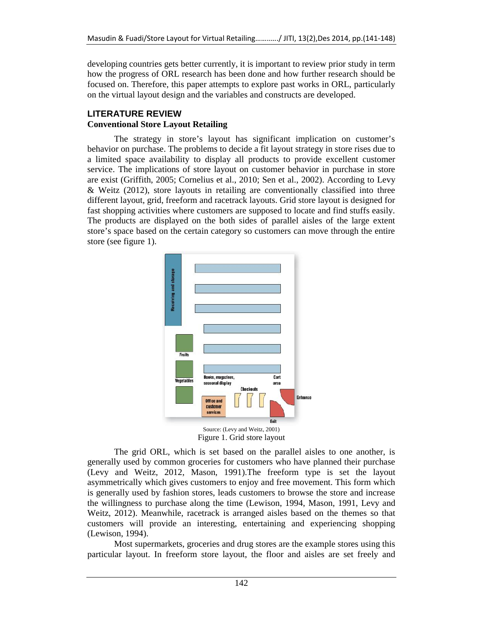developing countries gets better currently, it is important to review prior study in term how the progress of ORL research has been done and how further research should be focused on. Therefore, this paper attempts to explore past works in ORL, particularly on the virtual layout design and the variables and constructs are developed.

## **LITERATURE REVIEW Conventional Store Layout Retailing**

The strategy in store's layout has significant implication on customer's behavior on purchase. The problems to decide a fit layout strategy in store rises due to a limited space availability to display all products to provide excellent customer service. The implications of store layout on customer behavior in purchase in store are exist (Griffith, 2005; Cornelius et al., 2010; Sen et al., 2002). According to Levy & Weitz (2012), store layouts in retailing are conventionally classified into three different layout, grid, freeform and racetrack layouts. Grid store layout is designed for fast shopping activities where customers are supposed to locate and find stuffs easily. The products are displayed on the both sides of parallel aisles of the large extent store's space based on the certain category so customers can move through the entire store (see figure 1).



Figure 1. Grid store layout

The grid ORL, which is set based on the parallel aisles to one another, is generally used by common groceries for customers who have planned their purchase (Levy and Weitz, 2012, Mason, 1991).The freeform type is set the layout asymmetrically which gives customers to enjoy and free movement. This form which is generally used by fashion stores, leads customers to browse the store and increase the willingness to purchase along the time (Lewison, 1994, Mason, 1991, Levy and Weitz, 2012). Meanwhile, racetrack is arranged aisles based on the themes so that customers will provide an interesting, entertaining and experiencing shopping (Lewison, 1994).

Most supermarkets, groceries and drug stores are the example stores using this particular layout. In freeform store layout, the floor and aisles are set freely and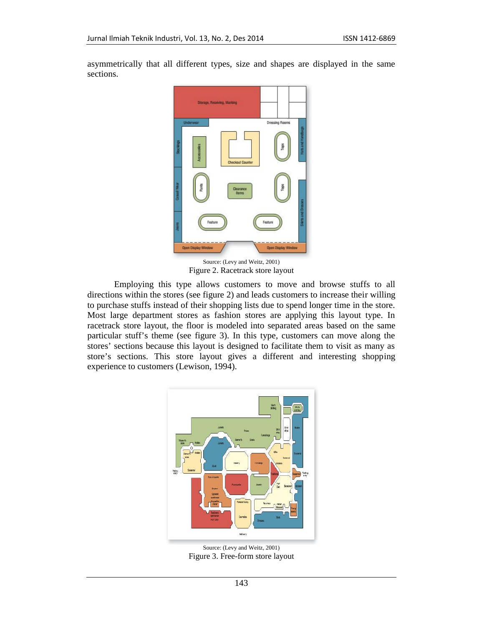

asymmetrically that all different types, size and shapes are displayed in the same sections.

Source: (Levy and Weitz, 2001) Figure 2. Racetrack store layout

Employing this type allows customers to move and browse stuffs to all directions within the stores (see figure 2) and leads customers to increase their willing to purchase stuffs instead of their shopping lists due to spend longer time in the store. Most large department stores as fashion stores are applying this layout type. In racetrack store layout, the floor is modeled into separated areas based on the same particular stuff's theme (see figure 3). In this type, customers can move along the stores' sections because this layout is designed to facilitate them to visit as many as store's sections. This store layout gives a different and interesting shopping experience to customers (Lewison, 1994).



Source: (Levy and Weitz, 2001) Figure 3. Free-form store layout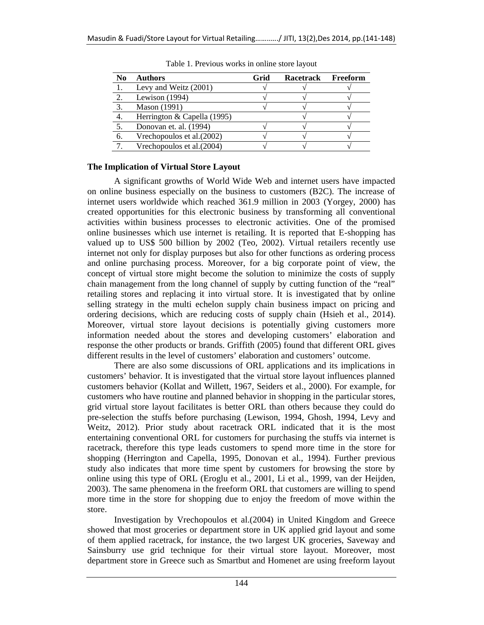| N <sub>0</sub> | <b>Authors</b>              | Grid | <b>Racetrack</b> | Freeform |
|----------------|-----------------------------|------|------------------|----------|
|                | Levy and Weitz (2001)       |      |                  |          |
|                | Lewison (1994)              |      |                  |          |
| 3.             | <b>Mason</b> (1991)         |      |                  |          |
| 4.             | Herrington & Capella (1995) |      |                  |          |
|                | Donovan et. al. (1994)      |      |                  |          |
| 6.             | Vrechopoulos et al. (2002)  |      |                  |          |
|                | Vrechopoulos et al. (2004)  |      |                  |          |

Table 1. Previous works in online store layout

## **The Implication of Virtual Store Layout**

A significant growths of World Wide Web and internet users have impacted on online business especially on the business to customers (B2C). The increase of internet users worldwide which reached 361.9 million in 2003 (Yorgey, 2000) has created opportunities for this electronic business by transforming all conventional activities within business processes to electronic activities. One of the promised online businesses which use internet is retailing. It is reported that E-shopping has valued up to US\$ 500 billion by 2002 (Teo, 2002). Virtual retailers recently use internet not only for display purposes but also for other functions as ordering process and online purchasing process. Moreover, for a big corporate point of view, the concept of virtual store might become the solution to minimize the costs of supply chain management from the long channel of supply by cutting function of the "real" retailing stores and replacing it into virtual store. It is investigated that by online selling strategy in the multi echelon supply chain business impact on pricing and ordering decisions, which are reducing costs of supply chain (Hsieh et al., 2014). Moreover, virtual store layout decisions is potentially giving customers more information needed about the stores and developing customers' elaboration and response the other products or brands. Griffith (2005) found that different ORL gives different results in the level of customers' elaboration and customers' outcome.

There are also some discussions of ORL applications and its implications in customers' behavior. It is investigated that the virtual store layout influences planned customers behavior (Kollat and Willett, 1967, Seiders et al., 2000). For example, for customers who have routine and planned behavior in shopping in the particular stores, grid virtual store layout facilitates is better ORL than others because they could do pre-selection the stuffs before purchasing (Lewison, 1994, Ghosh, 1994, Levy and Weitz, 2012). Prior study about racetrack ORL indicated that it is the most entertaining conventional ORL for customers for purchasing the stuffs via internet is racetrack, therefore this type leads customers to spend more time in the store for shopping (Herrington and Capella, 1995, Donovan et al., 1994). Further previous study also indicates that more time spent by customers for browsing the store by online using this type of ORL (Eroglu et al., 2001, Li et al., 1999, van der Heijden, 2003). The same phenomena in the freeform ORL that customers are willing to spend more time in the store for shopping due to enjoy the freedom of move within the store.

Investigation by Vrechopoulos et al.(2004) in United Kingdom and Greece showed that most groceries or department store in UK applied grid layout and some of them applied racetrack, for instance, the two largest UK groceries, Saveway and Sainsburry use grid technique for their virtual store layout. Moreover, most department store in Greece such as Smartbut and Homenet are using freeform layout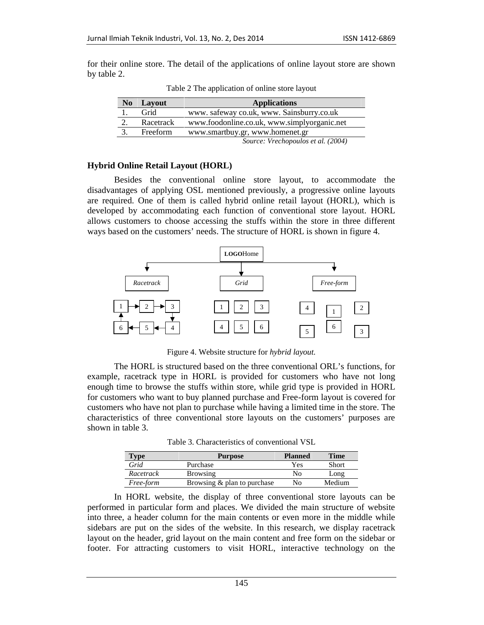for their online store. The detail of the applications of online layout store are shown by table 2.

| N <sub>0</sub> | Lavout    | <b>Applications</b>                         |
|----------------|-----------|---------------------------------------------|
|                | Grid      | www. safeway co.uk, www. Sainsburry.co.uk   |
| 2.             | Racetrack | www.foodonline.co.uk, www.simplyorganic.net |
| 3.             | Freeform  | www.smartbuy.gr, www.homenet.gr             |
|                |           | Source: Vrechopoulos et al. (2004)          |

Table 2 The application of online store layout

## **Hybrid Online Retail Layout (HORL)**

Besides the conventional online store layout, to accommodate the disadvantages of applying OSL mentioned previously, a progressive online layouts are required. One of them is called hybrid online retail layout (HORL), which is developed by accommodating each function of conventional store layout. HORL allows customers to choose accessing the stuffs within the store in three different ways based on the customers' needs. The structure of HORL is shown in figure 4.



Figure 4. Website structure for *hybrid layout.*

The HORL is structured based on the three conventional ORL's functions, for example, racetrack type in HORL is provided for customers who have not long enough time to browse the stuffs within store, while grid type is provided in HORL for customers who want to buy planned purchase and Free-form layout is covered for customers who have not plan to purchase while having a limited time in the store. The characteristics of three conventional store layouts on the customers' purposes are shown in table 3.

Table 3. Characteristics of conventional VSL

| <b>Type</b> | <b>Purpose</b>                 | <b>Planned</b> | Time   |
|-------------|--------------------------------|----------------|--------|
| Grid        | Purchase                       | Yes            | Short  |
| Racetrack   | <b>Browsing</b>                | No             | Long   |
| Free-form   | Browsing $\&$ plan to purchase | Nο             | Medium |

In HORL website, the display of three conventional store layouts can be performed in particular form and places. We divided the main structure of website into three, a header column for the main contents or even more in the middle while sidebars are put on the sides of the website. In this research, we display racetrack layout on the header, grid layout on the main content and free form on the sidebar or footer. For attracting customers to visit HORL, interactive technology on the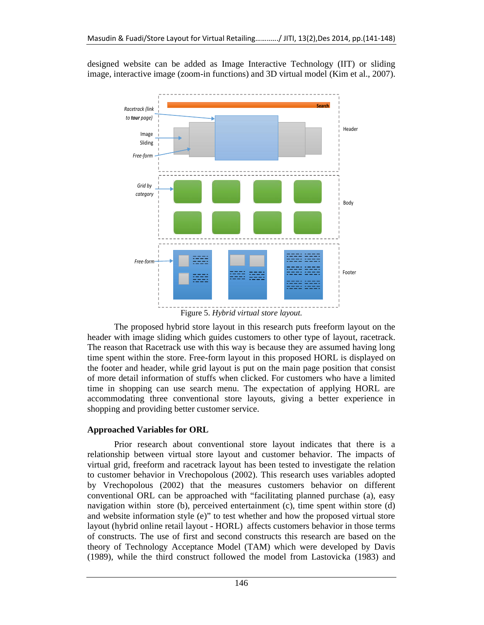designed website can be added as Image Interactive Technology (IIT) or sliding image, interactive image (zoom-in functions) and 3D virtual model (Kim et al., 2007).



Figure 5. *Hybrid virtual store layout.*

The proposed hybrid store layout in this research puts freeform layout on the header with image sliding which guides customers to other type of layout, racetrack. The reason that Racetrack use with this way is because they are assumed having long time spent within the store. Free-form layout in this proposed HORL is displayed on the footer and header, while grid layout is put on the main page position that consist of more detail information of stuffs when clicked. For customers who have a limited time in shopping can use search menu. The expectation of applying HORL are accommodating three conventional store layouts, giving a better experience in shopping and providing better customer service.

## **Approached Variables for ORL**

Prior research about conventional store layout indicates that there is a relationship between virtual store layout and customer behavior. The impacts of virtual grid, freeform and racetrack layout has been tested to investigate the relation to customer behavior in Vrechopolous (2002). This research uses variables adopted by Vrechopolous (2002) that the measures customers behavior on different conventional ORL can be approached with "facilitating planned purchase (a), easy navigation within store (b), perceived entertainment (c), time spent within store (d) and website information style (e)" to test whether and how the proposed virtual store layout (hybrid online retail layout - HORL) affects customers behavior in those terms of constructs. The use of first and second constructs this research are based on the theory of Technology Acceptance Model (TAM) which were developed by Davis (1989), while the third construct followed the model from Lastovicka (1983) and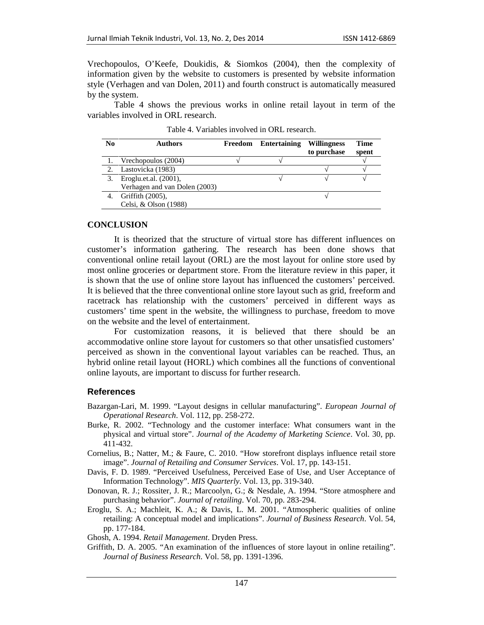Vrechopoulos, O'Keefe, Doukidis, & Siomkos (2004), then the complexity of information given by the website to customers is presented by website information style (Verhagen and van Dolen, 2011) and fourth construct is automatically measured by the system.

Table 4 shows the previous works in online retail layout in term of the variables involved in ORL research.

| N <sub>0</sub> | <b>Authors</b>                | Freedom Entertaining | <b>Willingness</b><br>to purchase | Time<br>spent |
|----------------|-------------------------------|----------------------|-----------------------------------|---------------|
|                | Vrechopoulos (2004)           |                      |                                   |               |
|                | Lastovicka (1983)             |                      |                                   |               |
|                | Eroglu.et.al. (2001),         |                      |                                   |               |
|                | Verhagen and van Dolen (2003) |                      |                                   |               |
|                | Griffith (2005),              |                      |                                   |               |
|                | Celsi, & Olson (1988)         |                      |                                   |               |

| Table 4. Variables involved in ORL research. |  |
|----------------------------------------------|--|
|                                              |  |

## **CONCLUSION**

It is theorized that the structure of virtual store has different influences on customer's information gathering. The research has been done shows that conventional online retail layout (ORL) are the most layout for online store used by most online groceries or department store. From the literature review in this paper, it is shown that the use of online store layout has influenced the customers' perceived. It is believed that the three conventional online store layout such as grid, freeform and racetrack has relationship with the customers' perceived in different ways as customers' time spent in the website, the willingness to purchase, freedom to move on the website and the level of entertainment.

For customization reasons, it is believed that there should be an accommodative online store layout for customers so that other unsatisfied customers' perceived as shown in the conventional layout variables can be reached. Thus, an hybrid online retail layout (HORL) which combines all the functions of conventional online layouts, are important to discuss for further research.

## **References**

- Bazargan-Lari, M. 1999. "Layout designs in cellular manufacturing". *European Journal of Operational Research*. Vol. 112, pp. 258-272.
- Burke, R. 2002. "Technology and the customer interface: What consumers want in the physical and virtual store". *Journal of the Academy of Marketing Science*. Vol. 30, pp. 411-432.
- Cornelius, B.; Natter, M.; & Faure, C. 2010. "How storefront displays influence retail store image". *Journal of Retailing and Consumer Services*. Vol. 17, pp. 143-151.
- Davis, F. D. 1989. "Perceived Usefulness, Perceived Ease of Use, and User Acceptance of Information Technology". *MIS Quarterly*. Vol. 13, pp. 319-340.
- Donovan, R. J.; Rossiter, J. R.; Marcoolyn, G.; & Nesdale, A. 1994. "Store atmosphere and purchasing behavior". *Journal of retailing*. Vol. 70, pp. 283-294.
- Eroglu, S. A.; Machleit, K. A.; & Davis, L. M. 2001. "Atmospheric qualities of online retailing: A conceptual model and implications". *Journal of Business Research*. Vol. 54, pp. 177-184.

Ghosh, A. 1994. *Retail Management*. Dryden Press.

Griffith, D. A. 2005. "An examination of the influences of store layout in online retailing". *Journal of Business Research*. Vol. 58, pp. 1391-1396.